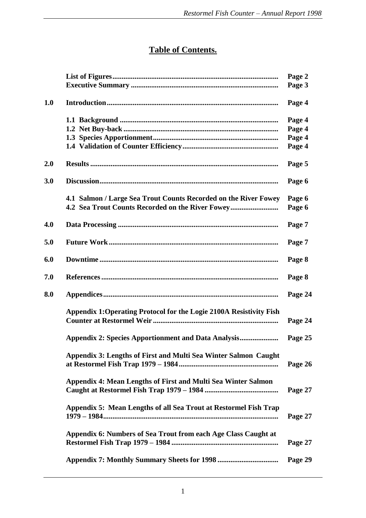## **Table of Contents.**

|     |                                                                     | Page 2  |
|-----|---------------------------------------------------------------------|---------|
|     |                                                                     | Page 3  |
| 1.0 |                                                                     | Page 4  |
|     |                                                                     | Page 4  |
|     |                                                                     | Page 4  |
|     |                                                                     | Page 4  |
|     |                                                                     | Page 4  |
| 2.0 |                                                                     | Page 5  |
| 3.0 |                                                                     | Page 6  |
|     | 4.1 Salmon / Large Sea Trout Counts Recorded on the River Fowey     | Page 6  |
|     | 4.2 Sea Trout Counts Recorded on the River Fowey                    | Page 6  |
| 4.0 |                                                                     | Page 7  |
| 5.0 |                                                                     | Page 7  |
| 6.0 |                                                                     | Page 8  |
| 7.0 |                                                                     | Page 8  |
| 8.0 |                                                                     | Page 24 |
|     | Appendix 1: Operating Protocol for the Logie 2100A Resistivity Fish | Page 24 |
|     | <b>Appendix 2: Species Apportionment and Data Analysis</b>          | Page 25 |
|     | Appendix 3: Lengths of First and Multi Sea Winter Salmon Caught     | Page 26 |
|     | Appendix 4: Mean Lengths of First and Multi Sea Winter Salmon       | Page 27 |
|     | Appendix 5: Mean Lengths of all Sea Trout at Restormel Fish Trap    | Page 27 |
|     | Appendix 6: Numbers of Sea Trout from each Age Class Caught at      | Page 27 |
|     |                                                                     | Page 29 |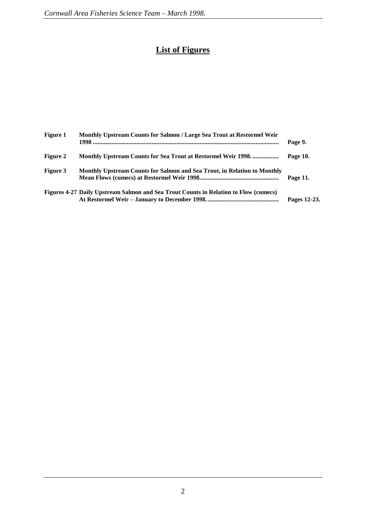## **List of Figures**

| <b>Figure 1</b> | <b>Monthly Upstream Counts for Salmon / Large Sea Trout at Restormel Weir</b>        | Page 9.      |
|-----------------|--------------------------------------------------------------------------------------|--------------|
| <b>Figure 2</b> | Monthly Upstream Counts for Sea Trout at Restormel Weir 1998                         | Page 10.     |
| Figure 3        | Monthly Upstream Counts for Salmon and Sea Trout, in Relation to Monthly             | Page 11.     |
|                 | Figures 4-27 Daily Upstream Salmon and Sea Trout Counts in Relation to Flow (cumecs) | Pages 12-23. |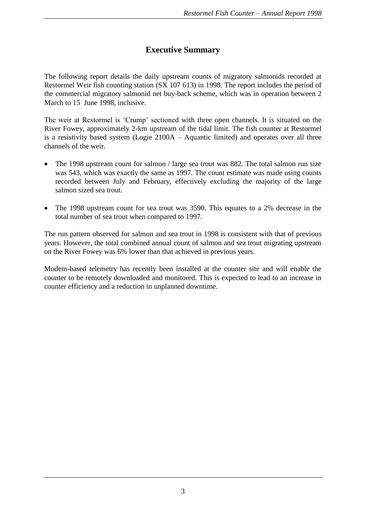## **Executive Summary**

The following report details the daily upstream counts of migratory salmonids recorded at Restormel Weir fish counting station (SX 107 613) in 1998. The report includes the period of the commercial migratory salmonid net buy-back scheme, which was in operation between 2 March to 15 June 1998, inclusive.

The weir at Restormel is 'Crump' sectioned with three open channels. It is situated on the River Fowey, approximately 2-km upstream of the tidal limit. The fish counter at Restormel is a resistivity based system (Logie 2100A – Aquantic limited) and operates over all three channels of the weir.

- The 1998 upstream count for salmon / large sea trout was 882. The total salmon run size was 543, which was exactly the same as 1997. The count estimate was made using counts recorded between July and February, effectively excluding the majority of the large salmon sized sea trout.
- The 1998 upstream count for sea trout was 3590. This equates to a 2% decrease in the total number of sea trout when compared to 1997.

The run pattern observed for salmon and sea trout in 1998 is consistent with that of previous years. However, the total combined annual count of salmon and sea trout migrating upstream on the River Fowey was 6% lower than that achieved in previous years.

Modem-based telemetry has recently been installed at the counter site and will enable the counter to be remotely downloaded and monitored. This is expected to lead to an increase in counter efficiency and a reduction in unplanned downtime.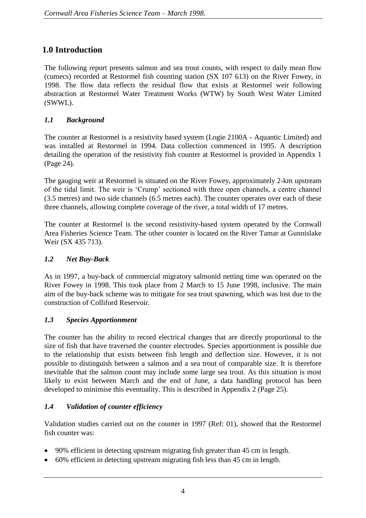## **1.0 Introduction**

The following report presents salmon and sea trout counts, with respect to daily mean flow (cumecs) recorded at Restormel fish counting station (SX 107 613) on the River Fowey, in 1998. The flow data reflects the residual flow that exists at Restormel weir following abstraction at Restormel Water Treatment Works (WTW) by South West Water Limited (SWWL).

#### *1.1 Background*

The counter at Restormel is a resistivity based system (Logie 2100A - Aquantic Limited) and was installed at Restormel in 1994. Data collection commenced in 1995. A description detailing the operation of the resistivity fish counter at Restormel is provided in Appendix 1 (Page 24).

The gauging weir at Restormel is situated on the River Fowey, approximately 2-km upstream of the tidal limit. The weir is 'Crump' sectioned with three open channels, a centre channel (3.5 metres) and two side channels (6.5 metres each). The counter operates over each of these three channels, allowing complete coverage of the river, a total width of 17 metres.

The counter at Restormel is the second resistivity-based system operated by the Cornwall Area Fisheries Science Team. The other counter is located on the River Tamar at Gunnislake Weir (SX 435 713).

#### *1.2 Net Buy-Back*

As in 1997, a buy-back of commercial migratory salmonid netting time was operated on the River Fowey in 1998. This took place from 2 March to 15 June 1998, inclusive. The main aim of the buy-back scheme was to mitigate for sea trout spawning, which was lost due to the construction of Colliford Reservoir.

#### *1.3 Species Apportionment*

The counter has the ability to record electrical changes that are directly proportional to the size of fish that have traversed the counter electrodes. Species apportionment is possible due to the relationship that exists between fish length and deflection size. However, it is not possible to distinguish between a salmon and a sea trout of comparable size. It is therefore inevitable that the salmon count may include some large sea trout. As this situation is most likely to exist between March and the end of June, a data handling protocol has been developed to minimise this eventuality. This is described in Appendix 2 (Page 25).

#### *1.4 Validation of counter efficiency*

Validation studies carried out on the counter in 1997 (Ref: 01), showed that the Restormel fish counter was:

- 90% efficient in detecting upstream migrating fish greater than 45 cm in length.
- 60% efficient in detecting upstream migrating fish less than 45 cm in length.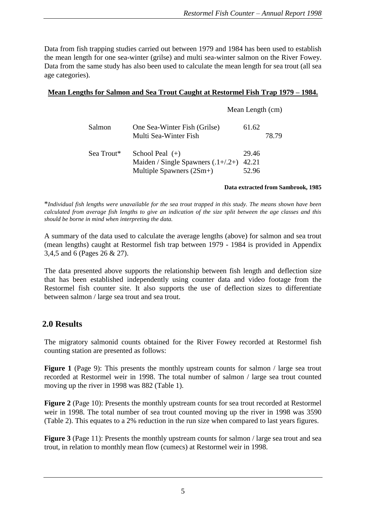Mean Length (cm)

Data from fish trapping studies carried out between 1979 and 1984 has been used to establish the mean length for one sea-winter (grilse) and multi sea-winter salmon on the River Fowey. Data from the same study has also been used to calculate the mean length for sea trout (all sea age categories).

#### **Mean Lengths for Salmon and Sea Trout Caught at Restormel Fish Trap 1979 – 1984.**

| Salmon     | One Sea-Winter Fish (Grilse)<br>Multi Sea-Winter Fish                                   | 61.62                   | 78.79 |
|------------|-----------------------------------------------------------------------------------------|-------------------------|-------|
| Sea Trout* | School Peal $(+)$<br>Maiden / Single Spawners $(.1+/.2+)$<br>Multiple Spawners $(2Sm+)$ | 29.46<br>42.21<br>52.96 |       |

#### **Data extracted from Sambrook, 1985**

\**Individual fish lengths were unavailable for the sea trout trapped in this study. The means shown have been calculated from average fish lengths to give an indication of the size split between the age classes and this should be borne in mind when interpreting the data.*

A summary of the data used to calculate the average lengths (above) for salmon and sea trout (mean lengths) caught at Restormel fish trap between 1979 - 1984 is provided in Appendix 3,4,5 and 6 (Pages 26 & 27).

The data presented above supports the relationship between fish length and deflection size that has been established independently using counter data and video footage from the Restormel fish counter site. It also supports the use of deflection sizes to differentiate between salmon / large sea trout and sea trout.

#### **2.0 Results**

The migratory salmonid counts obtained for the River Fowey recorded at Restormel fish counting station are presented as follows:

**Figure 1** (Page 9): This presents the monthly upstream counts for salmon / large sea trout recorded at Restormel weir in 1998. The total number of salmon / large sea trout counted moving up the river in 1998 was 882 (Table 1).

**Figure 2** (Page 10): Presents the monthly upstream counts for sea trout recorded at Restormel weir in 1998. The total number of sea trout counted moving up the river in 1998 was 3590 (Table 2). This equates to a 2% reduction in the run size when compared to last years figures.

**Figure 3** (Page 11): Presents the monthly upstream counts for salmon / large sea trout and sea trout, in relation to monthly mean flow (cumecs) at Restormel weir in 1998.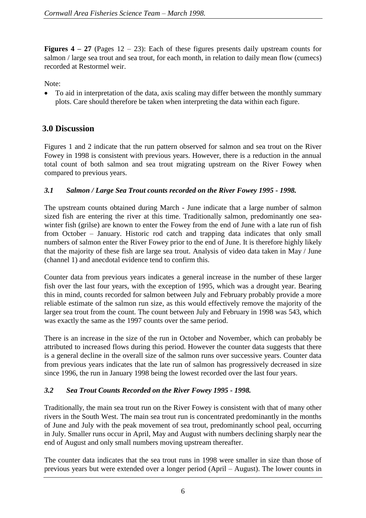**Figures 4 – 27** (Pages 12 – 23): Each of these figures presents daily upstream counts for salmon / large sea trout and sea trout, for each month, in relation to daily mean flow (cumecs) recorded at Restormel weir.

Note:

 To aid in interpretation of the data, axis scaling may differ between the monthly summary plots. Care should therefore be taken when interpreting the data within each figure.

### **3.0 Discussion**

Figures 1 and 2 indicate that the run pattern observed for salmon and sea trout on the River Fowey in 1998 is consistent with previous years. However, there is a reduction in the annual total count of both salmon and sea trout migrating upstream on the River Fowey when compared to previous years.

#### *3.1 Salmon / Large Sea Trout counts recorded on the River Fowey 1995 - 1998.*

The upstream counts obtained during March - June indicate that a large number of salmon sized fish are entering the river at this time. Traditionally salmon, predominantly one seawinter fish (grilse) are known to enter the Fowey from the end of June with a late run of fish from October – January. Historic rod catch and trapping data indicates that only small numbers of salmon enter the River Fowey prior to the end of June. It is therefore highly likely that the majority of these fish are large sea trout. Analysis of video data taken in May / June (channel 1) and anecdotal evidence tend to confirm this.

Counter data from previous years indicates a general increase in the number of these larger fish over the last four years, with the exception of 1995, which was a drought year. Bearing this in mind, counts recorded for salmon between July and February probably provide a more reliable estimate of the salmon run size, as this would effectively remove the majority of the larger sea trout from the count. The count between July and February in 1998 was 543, which was exactly the same as the 1997 counts over the same period.

There is an increase in the size of the run in October and November, which can probably be attributed to increased flows during this period. However the counter data suggests that there is a general decline in the overall size of the salmon runs over successive years. Counter data from previous years indicates that the late run of salmon has progressively decreased in size since 1996, the run in January 1998 being the lowest recorded over the last four years.

#### *3.2 Sea Trout Counts Recorded on the River Fowey 1995 - 1998.*

Traditionally, the main sea trout run on the River Fowey is consistent with that of many other rivers in the South West. The main sea trout run is concentrated predominantly in the months of June and July with the peak movement of sea trout, predominantly school peal, occurring in July. Smaller runs occur in April, May and August with numbers declining sharply near the end of August and only small numbers moving upstream thereafter.

The counter data indicates that the sea trout runs in 1998 were smaller in size than those of previous years but were extended over a longer period (April – August). The lower counts in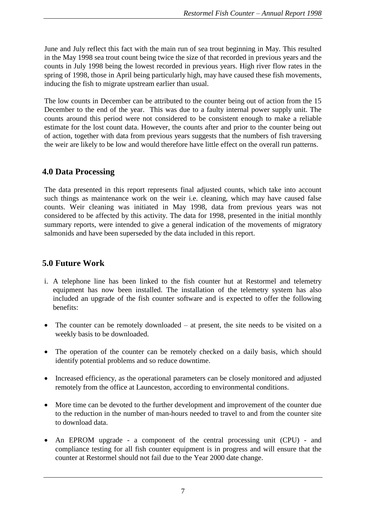June and July reflect this fact with the main run of sea trout beginning in May. This resulted in the May 1998 sea trout count being twice the size of that recorded in previous years and the counts in July 1998 being the lowest recorded in previous years. High river flow rates in the spring of 1998, those in April being particularly high, may have caused these fish movements, inducing the fish to migrate upstream earlier than usual.

The low counts in December can be attributed to the counter being out of action from the 15 December to the end of the year. This was due to a faulty internal power supply unit. The counts around this period were not considered to be consistent enough to make a reliable estimate for the lost count data. However, the counts after and prior to the counter being out of action, together with data from previous years suggests that the numbers of fish traversing the weir are likely to be low and would therefore have little effect on the overall run patterns.

#### **4.0 Data Processing**

The data presented in this report represents final adjusted counts, which take into account such things as maintenance work on the weir i.e. cleaning, which may have caused false counts. Weir cleaning was initiated in May 1998, data from previous years was not considered to be affected by this activity. The data for 1998, presented in the initial monthly summary reports, were intended to give a general indication of the movements of migratory salmonids and have been superseded by the data included in this report.

### **5.0 Future Work**

- i. A telephone line has been linked to the fish counter hut at Restormel and telemetry equipment has now been installed. The installation of the telemetry system has also included an upgrade of the fish counter software and is expected to offer the following benefits:
- The counter can be remotely downloaded at present, the site needs to be visited on a weekly basis to be downloaded.
- The operation of the counter can be remotely checked on a daily basis, which should identify potential problems and so reduce downtime.
- Increased efficiency, as the operational parameters can be closely monitored and adjusted remotely from the office at Launceston, according to environmental conditions.
- More time can be devoted to the further development and improvement of the counter due to the reduction in the number of man-hours needed to travel to and from the counter site to download data.
- An EPROM upgrade a component of the central processing unit (CPU) and compliance testing for all fish counter equipment is in progress and will ensure that the counter at Restormel should not fail due to the Year 2000 date change.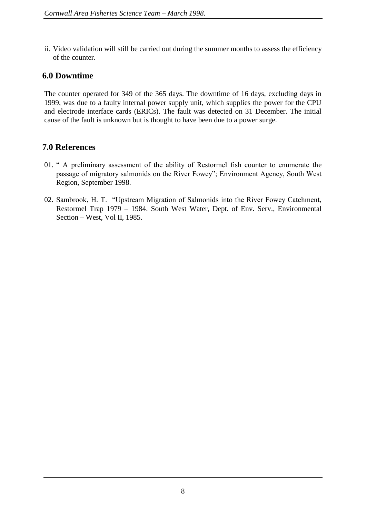ii. Video validation will still be carried out during the summer months to assess the efficiency of the counter.

#### **6.0 Downtime**

The counter operated for 349 of the 365 days. The downtime of 16 days, excluding days in 1999, was due to a faulty internal power supply unit, which supplies the power for the CPU and electrode interface cards (ERICs). The fault was detected on 31 December. The initial cause of the fault is unknown but is thought to have been due to a power surge.

#### **7.0 References**

- 01. " A preliminary assessment of the ability of Restormel fish counter to enumerate the passage of migratory salmonids on the River Fowey"; Environment Agency, South West Region, September 1998.
- 02. Sambrook, H. T. "Upstream Migration of Salmonids into the River Fowey Catchment, Restormel Trap 1979 – 1984. South West Water, Dept. of Env. Serv., Environmental Section – West, Vol II, 1985.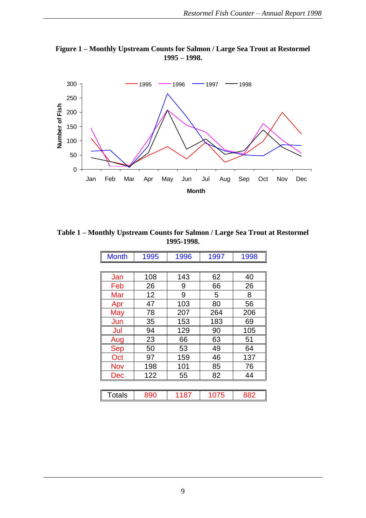



**Table 1 – Monthly Upstream Counts for Salmon / Large Sea Trout at Restormel 1995-1998.**

| <b>Month</b>  | 1995 | 1996 | 1997 | 1998 |
|---------------|------|------|------|------|
|               |      |      |      |      |
| Jan           | 108  | 143  | 62   | 40   |
| Feb           | 26   | 9    | 66   | 26   |
| Mar           | 12   | 9    | 5    | 8    |
| Apr           | 47   | 103  | 80   | 56   |
| May           | 78   | 207  | 264  | 206  |
| Jun           | 35   | 153  | 183  | 69   |
| Jul           | 94   | 129  | 90   | 105  |
| Aug           | 23   | 66   | 63   | 51   |
| <b>Sep</b>    | 50   | 53   | 49   | 64   |
| Oct           | 97   | 159  | 46   | 137  |
| <b>Nov</b>    | 198  | 101  | 85   | 76   |
| Dec           | 122  | 55   | 82   | 44   |
|               |      |      |      |      |
| <b>Totals</b> | 890  | 1187 | 1075 | 882  |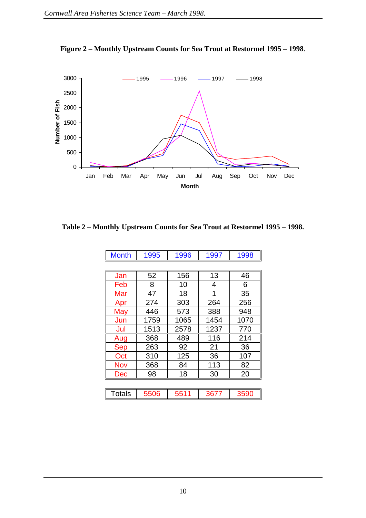

**Figure 2 – Monthly Upstream Counts for Sea Trout at Restormel 1995 – 1998**.

**Table 2 – Monthly Upstream Counts for Sea Trout at Restormel 1995 – 1998.**

| <b>Month</b>  | 1995 | 1996 | 1997 | 1998 |  |  |  |  |  |
|---------------|------|------|------|------|--|--|--|--|--|
|               |      |      |      |      |  |  |  |  |  |
| Jan           | 52   | 156  | 13   | 46   |  |  |  |  |  |
| Feb           | 8    | 10   | 4    | 6    |  |  |  |  |  |
| Mar           | 47   | 18   | 1    | 35   |  |  |  |  |  |
| Apr           | 274  | 303  | 264  | 256  |  |  |  |  |  |
| May           | 446  | 573  | 388  | 948  |  |  |  |  |  |
| Jun           | 1759 | 1065 | 1454 | 1070 |  |  |  |  |  |
| Jul           | 1513 | 2578 | 1237 | 770  |  |  |  |  |  |
| Aug           | 368  | 489  | 116  | 214  |  |  |  |  |  |
| <b>Sep</b>    | 263  | 92   | 21   | 36   |  |  |  |  |  |
| Oct           | 310  | 125  | 36   | 107  |  |  |  |  |  |
| Nov           | 368  | 84   | 113  | 82   |  |  |  |  |  |
| Dec           | 98   | 18   | 30   | 20   |  |  |  |  |  |
|               |      |      |      |      |  |  |  |  |  |
| <b>Totals</b> | 5506 | 5511 | 3677 | 3590 |  |  |  |  |  |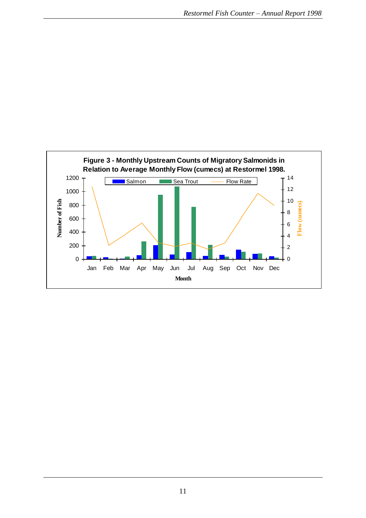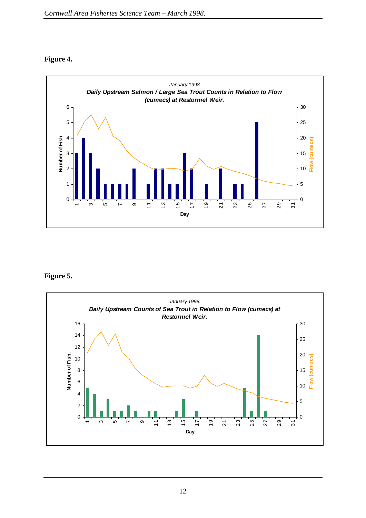#### **Figure 4.**



#### **Figure 5.**

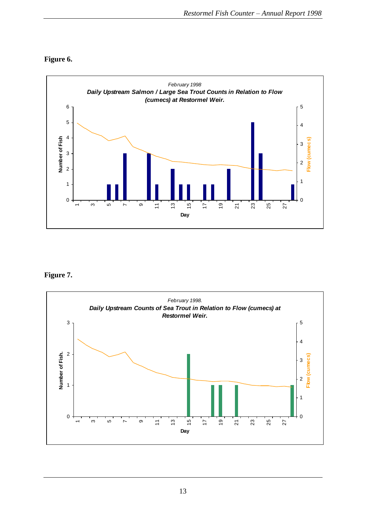



#### **Figure 7.**

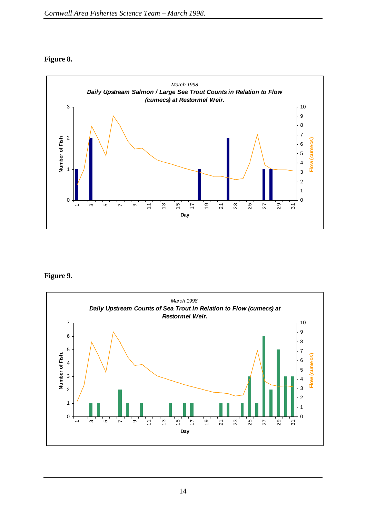#### **Figure 8.**



#### **Figure 9.**

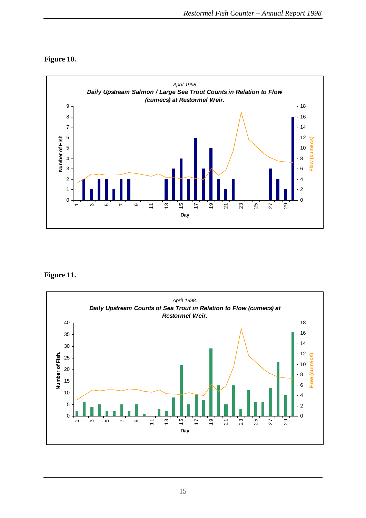



#### **Figure 11.**

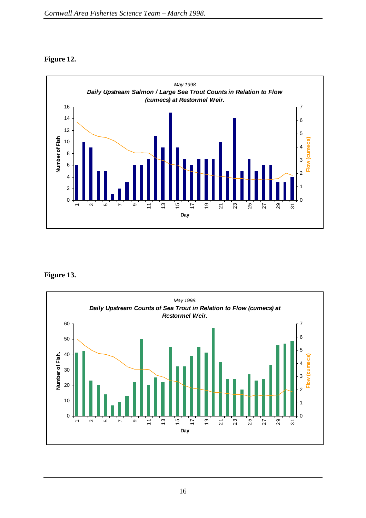#### **Figure 12.**



#### **Figure 13.**

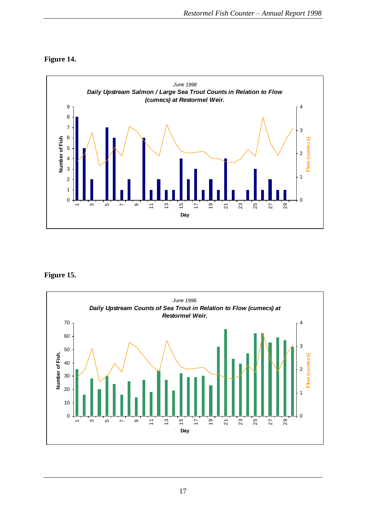



**Figure 15.**

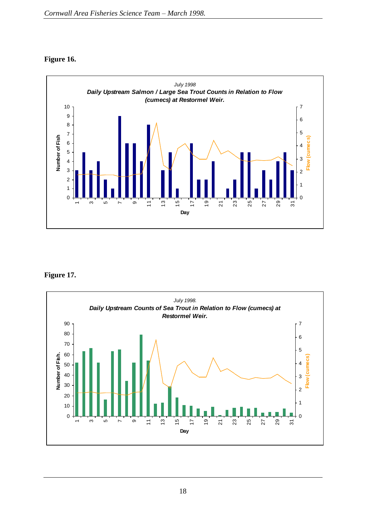#### **Figure 16.**



**Figure 17.**

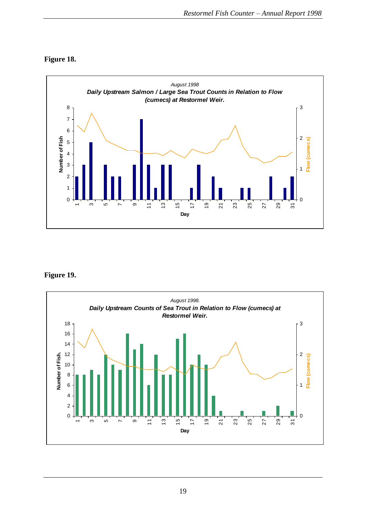



**Figure 19.**

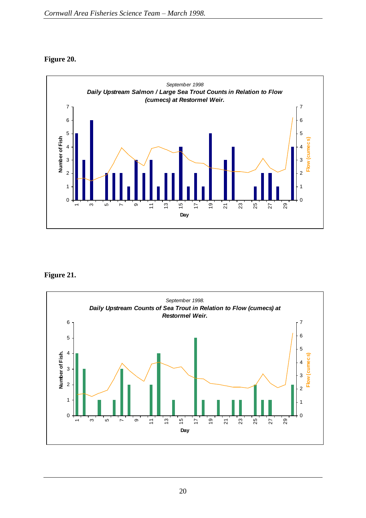#### **Figure 20.**



#### **Figure 21.**

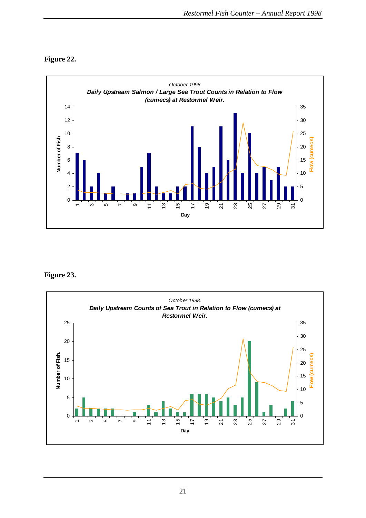

#### **Figure 22.**

#### **Figure 23.**

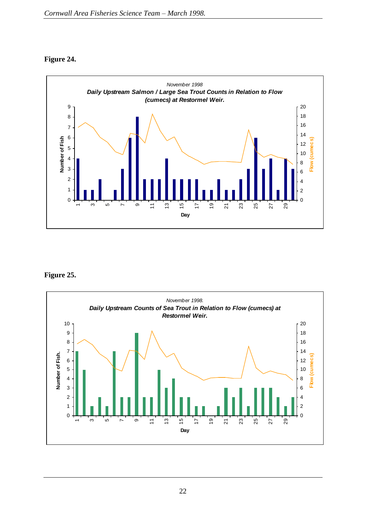#### **Figure 24.**



#### **Figure 25.**

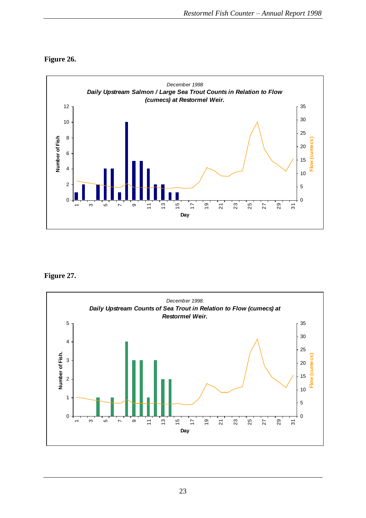![](_page_22_Figure_1.jpeg)

![](_page_22_Figure_2.jpeg)

#### **Figure 27.**

![](_page_22_Figure_4.jpeg)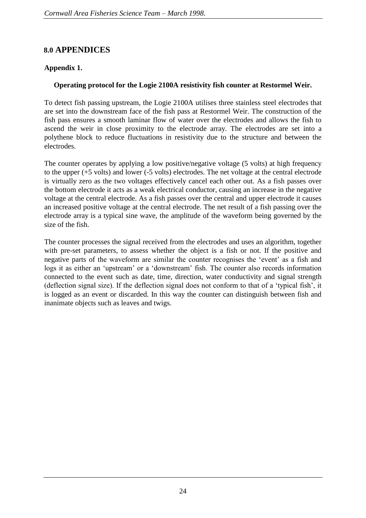#### **8.0 APPENDICES**

#### **Appendix 1.**

#### **Operating protocol for the Logie 2100A resistivity fish counter at Restormel Weir.**

To detect fish passing upstream, the Logie 2100A utilises three stainless steel electrodes that are set into the downstream face of the fish pass at Restormel Weir. The construction of the fish pass ensures a smooth laminar flow of water over the electrodes and allows the fish to ascend the weir in close proximity to the electrode array. The electrodes are set into a polythene block to reduce fluctuations in resistivity due to the structure and between the electrodes.

The counter operates by applying a low positive/negative voltage (5 volts) at high frequency to the upper (+5 volts) and lower (-5 volts) electrodes. The net voltage at the central electrode is virtually zero as the two voltages effectively cancel each other out. As a fish passes over the bottom electrode it acts as a weak electrical conductor, causing an increase in the negative voltage at the central electrode. As a fish passes over the central and upper electrode it causes an increased positive voltage at the central electrode. The net result of a fish passing over the electrode array is a typical sine wave, the amplitude of the waveform being governed by the size of the fish.

The counter processes the signal received from the electrodes and uses an algorithm, together with pre-set parameters, to assess whether the object is a fish or not. If the positive and negative parts of the waveform are similar the counter recognises the 'event' as a fish and logs it as either an 'upstream' or a 'downstream' fish. The counter also records information connected to the event such as date, time, direction, water conductivity and signal strength (deflection signal size). If the deflection signal does not conform to that of a 'typical fish', it is logged as an event or discarded. In this way the counter can distinguish between fish and inanimate objects such as leaves and twigs.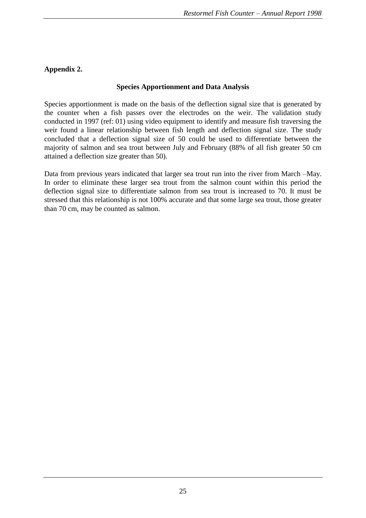#### **Appendix 2.**

#### **Species Apportionment and Data Analysis**

Species apportionment is made on the basis of the deflection signal size that is generated by the counter when a fish passes over the electrodes on the weir. The validation study conducted in 1997 (ref: 01) using video equipment to identify and measure fish traversing the weir found a linear relationship between fish length and deflection signal size. The study concluded that a deflection signal size of 50 could be used to differentiate between the majority of salmon and sea trout between July and February (88% of all fish greater 50 cm attained a deflection size greater than 50).

Data from previous years indicated that larger sea trout run into the river from March –May. In order to eliminate these larger sea trout from the salmon count within this period the deflection signal size to differentiate salmon from sea trout is increased to 70. It must be stressed that this relationship is not 100% accurate and that some large sea trout, those greater than 70 cm, may be counted as salmon.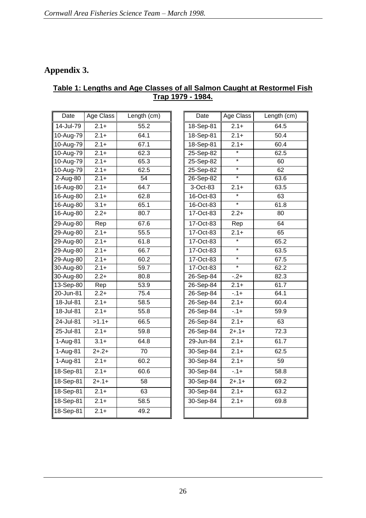## **Appendix 3.**

#### **Table 1: Lengths and Age Classes of all Salmon Caught at Restormel Fish Trap 1979 - 1984.**

| Date          | Age Class | Length (cm) | Date          | Age Class         | Length ( |
|---------------|-----------|-------------|---------------|-------------------|----------|
| 14-Jul-79     | $2.1 +$   | 55.2        | 18-Sep-81     | $2.1 +$           | 64.5     |
| 10-Aug-79     | $2.1+$    | 64.1        | 18-Sep-81     | $2.1 +$           | 50.4     |
| 10-Aug-79     | $2.1+$    | 67.1        | 18-Sep-81     | $2.1 +$           | 60.4     |
| 10-Aug-79     | $2.1 +$   | 62.3        | 25-Sep-82     | $\star$           | 62.5     |
| 10-Aug-79     | $2.1+$    | 65.3        | $25-$ Sep-82  | $\overline{\ast}$ | 60       |
| 10-Aug-79     | $2.1+$    | 62.5        | $25-Sep-82$   | $\overline{\ast}$ | 62       |
| 2-Aug-80      | $2.1 +$   | 54          | 26-Sep-82     | $\star$           | 63.6     |
| 16-Aug-80     | $2.1 +$   | 64.7        | 3-Oct-83      | $2.1 +$           | 63.5     |
| 16-Aug-80     | $2.1 +$   | 62.8        | 16-Oct-83     | $\star$           | 63       |
| 16-Aug-80     | $3.1 +$   | 65.1        | 16-Oct-83     | $\star$           | 61.8     |
| 16-Aug-80     | $2.2+$    | 80.7        | 17-Oct-83     | $2.2+$            | 80       |
| 29-Aug-80     | Rep       | 67.6        | 17-Oct-83     | Rep               | 64       |
| 29-Aug-80     | $2.1 +$   | 55.5        | 17-Oct-83     | $2.1 +$           | 65       |
| 29-Aug-80     | $2.1+$    | 61.8        | 17-Oct-83     | $\ast$            | 65.2     |
| 29-Aug-80     | $2.1+$    | 66.7        | 17-Oct-83     | $\overline{\ast}$ | 63.5     |
| 29-Aug-80     | $2.1+$    | 60.2        | 17-Oct-83     | $\star$           | 67.5     |
| 30-Aug-80     | $2.1 +$   | 59.7        | 17-Oct-83     | $\star$           | 62.2     |
| 30-Aug-80     | $2.2+$    | 80.8        | $26 - Sep-84$ | $-2+$             | 82.3     |
| 13-Sep-80     | Rep       | 53.9        | 26-Sep-84     | $2.1+$            | 61.7     |
| $20 - Jun-81$ | $2.2+$    | 75.4        | 26-Sep-84     | $-1+$             | 64.1     |
| 18-Jul-81     | $2.1+$    | 58.5        | 26-Sep-84     | $2.1 +$           | 60.4     |
| 18-Jul-81     | $2.1+$    | 55.8        | 26-Sep-84     | $-0.1 +$          | 59.9     |
| 24-Jul-81     | $>1.1+$   | 66.5        | 26-Sep-84     | $2.1+$            | 63       |
| 25-Jul-81     | $2.1+$    | 59.8        | 26-Sep-84     | $2+.1+$           | 72.3     |
| 1-Aug-81      | $3.1+$    | 64.8        | 29-Jun-84     | $2.1+$            | 61.7     |
| 1-Aug-81      | $2+.2+$   | 70          | 30-Sep-84     | $2.1+$            | 62.5     |
| 1-Aug-81      | $2.1+$    | 60.2        | 30-Sep-84     | $2.1 +$           | 59       |
| 18-Sep-81     | $2.1+$    | 60.6        | 30-Sep-84     | $-1+$             | 58.8     |
| 18-Sep-81     | $2+.1+$   | 58          | 30-Sep-84     | $2 + 1 +$         | 69.2     |
| 18-Sep-81     | $2.1+$    | 63          | 30-Sep-84     | $2.1+$            | 63.2     |
| 18-Sep-81     | $2.1+$    | 58.5        | 30-Sep-84     | $2.1 +$           | 69.8     |
| 18-Sep-81     | $2.1+$    | 49.2        |               |                   |          |
|               |           |             |               |                   |          |

| Date                       | Age Class | Length (cm)     | Date        | Age Class         | Length (cm) |
|----------------------------|-----------|-----------------|-------------|-------------------|-------------|
| $\overline{-J}$ ul-79      | $2.1+$    | 55.2            | 18-Sep-81   | $2.1 +$           | 64.5        |
| -Aug-79                    | $2.1 +$   | 64.1            | 18-Sep-81   | $2.1 +$           | 50.4        |
| -Aug-79                    | $2.1 +$   | 67.1            | 18-Sep-81   | $2.1 +$           | 60.4        |
| Aug-79                     | $2.1+$    | 62.3            | 25-Sep-82   | $\star$           | 62.5        |
| -Aug-79                    | $2.1+$    | 65.3            | 25-Sep-82   | $\ast$            | 60          |
| -Aug-79                    | $2.1 +$   | 62.5            | 25-Sep-82   | $\star$           | 62          |
| Aug-80                     | $2.1+$    | 54              | 26-Sep-82   | $\ast$            | 63.6        |
| Aug-80                     | $2.1+$    | 64.7            | $3-Oct-83$  | $2.1 +$           | 63.5        |
| -Aug-80                    | $2.1 +$   | 62.8            | 16-Oct-83   | $\star$           | 63          |
| Aug-80                     | $3.1 +$   | 65.1            | 16-Oct-83   | $\star$           | 61.8        |
| Aug-80                     | $2.2+$    | 80.7            | 17-Oct-83   | $2.2+$            | 80          |
| $\overline{A}$ ug-80       | Rep       | 67.6            | 17-Oct-83   | Rep               | 64          |
| $\overline{A}$ ug-80       | $2.1+$    | 55.5            | $17-Oct-83$ | $2.1+$            | 65          |
| $\overline{A}$ ug-80       | $2.1 +$   | 61.8            | 17-Oct-83   | $\overline{\ast}$ | 65.2        |
| Aug-80                     | $2.1+$    | 66.7            | 17-Oct-83   | $\star$           | 63.5        |
| Aug-80                     | $2.1 +$   | 60.2            | 17-Oct-83   | $\star$           | 67.5        |
| Aug-80                     | $2.1 +$   | 59.7            | 17-Oct-83   | $\star$           | 62.2        |
| Aug-80                     | $2.2+$    | 80.8            | 26-Sep-84   | $-2+$             | 82.3        |
| $\overline{S}$ ep-80       | Rep       | 53.9            | 26-Sep-84   | $2.1+$            | 61.7        |
| $\overline{J}$ un-81       | $2.2+$    | 75.4            | 26-Sep-84   | $-1+$             | 64.1        |
| $\overline{-J}$ ul-81      | $2.1+$    | 58.5            | 26-Sep-84   | $2.1+$            | 60.4        |
| -Jul-81                    | $2.1 +$   | 55.8            | 26-Sep-84   | $-0.1 +$          | 59.9        |
| -Jul-81                    | $>1.1+$   | 66.5            | 26-Sep-84   | $2.1+$            | 63          |
| $-$ Jul-81                 | $2.1+$    | 59.8            | 26-Sep-84   | $2+.1+$           | 72.3        |
| Aug-81                     | $3.1+$    | 64.8            | 29-Jun-84   | $2.1+$            | 61.7        |
| Aug-81                     | $2+.2+$   | $\overline{70}$ | 30-Sep-84   | $2.1+$            | 62.5        |
| Aug-81                     | $2.1 +$   | 60.2            | 30-Sep-84   | $2.1 +$           | 59          |
| $\overline{S}$ ep-81       | $2.1 +$   | 60.6            | 30-Sep-84   | $-0.1 +$          | 58.8        |
| -Sep-81                    | $2+.1+$   | 58              | 30-Sep-84   | $2 + 1 +$         | 69.2        |
| $-$ Sep-81                 | $2.1 +$   | 63              | 30-Sep-84   | $2.1+$            | 63.2        |
| Sep-81                     | $2.1 +$   | 58.5            | 30-Sep-84   | $2.1 +$           | 69.8        |
| $\overline{\text{Sep-}81}$ | $2.1+$    | 49.2            |             |                   |             |
|                            |           |                 |             |                   |             |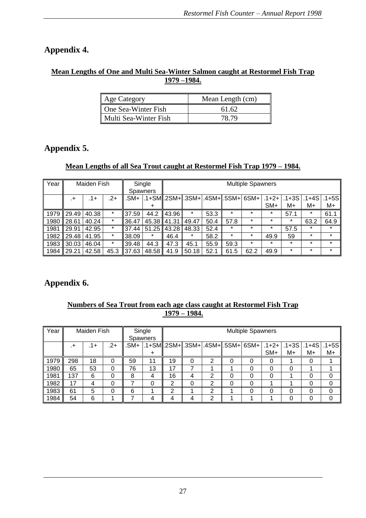## **Appendix 4.**

#### **Mean Lengths of One and Multi Sea-Winter Salmon caught at Restormel Fish Trap 1979 –1984.**

| Age Category          | Mean Length (cm) |
|-----------------------|------------------|
| One Sea-Winter Fish   | 61.62            |
| Multi Sea-Winter Fish | 78.79            |

## **Appendix 5.**

#### **Mean Lengths of all Sea Trout caught at Restormel Fish Trap 1979 – 1984.**

| Year | Maiden Fish |        |         |       | Single          | <b>Multiple Spawners</b> |                                               |      |         |         |            |           |           |         |
|------|-------------|--------|---------|-------|-----------------|--------------------------|-----------------------------------------------|------|---------|---------|------------|-----------|-----------|---------|
|      |             |        |         |       | <b>Spawners</b> |                          |                                               |      |         |         |            |           |           |         |
|      | $^{+}$      | $.1 +$ | $.2+$   | .SM+  |                 |                          | $.1+SM$ .2SM+ $.3$ SM+ $.4$ SM+ $.5$ SM+ $.5$ |      |         | $6SM+$  | $.1 + 2 +$ | $.1 + 3S$ | $.1 + 4S$ | .1+5SI  |
|      |             |        |         |       | ÷               |                          |                                               |      |         |         | SM+        | M+        | M+        | M+      |
| 1979 | 29.49       | 40.38  | $\star$ | 37.59 | 44.2            | 43.96                    | *                                             | 53.3 | $\star$ | $\star$ | $\star$    | 57.1      | $\star$   | 61.1    |
| 1980 | 28.61       | 40.24  | $\star$ | 36.47 | 45.38 41.31     |                          | 49.47                                         | 50.4 | 57.8    | $\star$ | $\star$    | $\star$   | 63.2      | 64.9    |
| 1981 | 29.91       | 42.95  | $\star$ | 37.44 | $51.25$ 43.28   |                          | 48.33                                         | 52.4 | $\star$ | $\star$ | $\star$    | 57.5      | $\star$   | $\star$ |
| 1982 | 29.48       | 41.95  | $\ast$  | 38.09 | $\star$         | 46.4                     | $\star$                                       | 58.2 | $\star$ | $\ast$  | 49.9       | 59        | $\star$   | $\star$ |
| 1983 | 30.03       | 46.04  | $\ast$  | 39.48 | 44.3            | 47.3                     | 45.1                                          | 55.9 | 59.3    | $\star$ | $\star$    | $\star$   | $\star$   | $\star$ |
| 1984 | 29.21       | 42.58  | 45.3    | 37.63 | 48.58           | 41.9                     | 50.18                                         | 52.1 | 61.5    | 62.2    | 49.9       | $\star$   | $\star$   | $\star$ |

## **Appendix 6.**

#### **Numbers of Sea Trout from each age class caught at Restormel Fish Trap 1979 – 1984.**

| Year | Maiden Fish |     |       | Single<br>Spawners |    | <b>Multiple Spawners</b> |   |   |  |                                                                               |       |    |    |    |
|------|-------------|-----|-------|--------------------|----|--------------------------|---|---|--|-------------------------------------------------------------------------------|-------|----|----|----|
|      | .+          | .1+ | $.2+$ |                    |    |                          |   |   |  | sM+  .1+SM  .2SM+ .3SM+ .4SM+ .5SM+  6SM+   .1+2+   .1+3S   .1+4S   .1+5S   . | $SM+$ | M+ | M+ | M+ |
|      |             |     |       |                    |    |                          |   |   |  |                                                                               |       |    |    |    |
| 1979 | 298         | 18  |       | 59                 | 11 | 19                       | 0 | ົ |  | 0                                                                             |       |    | O  |    |
| 1980 | 65          | 53  | 0     | 76                 | 13 | 17                       |   |   |  | 0                                                                             |       | 0  |    |    |
| 1981 | 137         | 6   |       | 8                  | 4  | 16                       |   | າ |  | 0                                                                             |       |    |    | 0  |
| 1982 | 17          | 4   | 0     |                    | 0  | 2                        |   | 2 |  | 0                                                                             |       |    | 0  | 0  |
| 1983 | 61          | 5   | 0     | 6                  |    | 2                        |   | っ |  | 0                                                                             | 0     | 0  | 0  | 0  |
| 1984 | 54          | 6   |       |                    | 4  |                          |   | າ |  |                                                                               |       | 0  | ი  | 0  |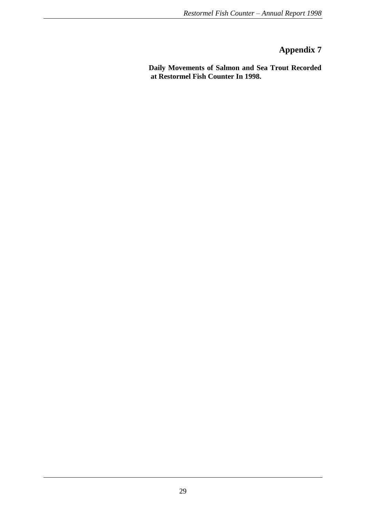## **Appendix 7**

**Daily Movements of Salmon and Sea Trout Recorded at Restormel Fish Counter In 1998.**